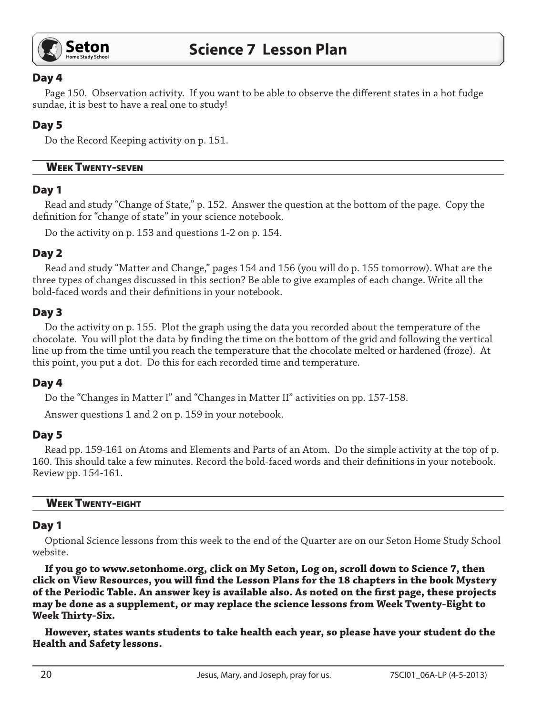

### Day 4

Page 150. Observation activity. If you want to be able to observe the different states in a hot fudge sundae, it is best to have a real one to study!

# Day 5

Do the Record Keeping activity on p. 151.

#### Week Twenty-seven

## Day 1

Read and study "Change of State," p. 152. Answer the question at the bottom of the page. Copy the definition for "change of state" in your science notebook.

Do the activity on p. 153 and questions 1-2 on p. 154.

### Day 2

Read and study "Matter and Change," pages 154 and 156 (you will do p. 155 tomorrow). What are the three types of changes discussed in this section? Be able to give examples of each change. Write all the bold-faced words and their definitions in your notebook.

## Day 3

Do the activity on p. 155. Plot the graph using the data you recorded about the temperature of the chocolate. You will plot the data by finding the time on the bottom of the grid and following the vertical line up from the time until you reach the temperature that the chocolate melted or hardened (froze). At this point, you put a dot. Do this for each recorded time and temperature.

### Day 4

Do the "Changes in Matter I" and "Changes in Matter II" activities on pp. 157-158.

Answer questions 1 and 2 on p. 159 in your notebook.

### Day 5

Read pp. 159-161 on Atoms and Elements and Parts of an Atom. Do the simple activity at the top of p. 160. This should take a few minutes. Record the bold-faced words and their definitions in your notebook. Review pp. 154-161.

#### **WEEK TWENTY-EIGHT**

### Day 1

Optional Science lessons from this week to the end of the Quarter are on our Seton Home Study School website.

**If you go to www.setonhome.org, click on My Seton, Log on, scroll down to Science 7, then click on View Resources, you will find the Lesson Plans for the 18 chapters in the book Mystery of the Periodic Table. An answer key is available also. As noted on the first page, these projects may be done as a supplement, or may replace the science lessons from Week Twenty-Eight to Week Thirty-Six.** 

**However, states wants students to take health each year, so please have your student do the Health and Safety lessons.**